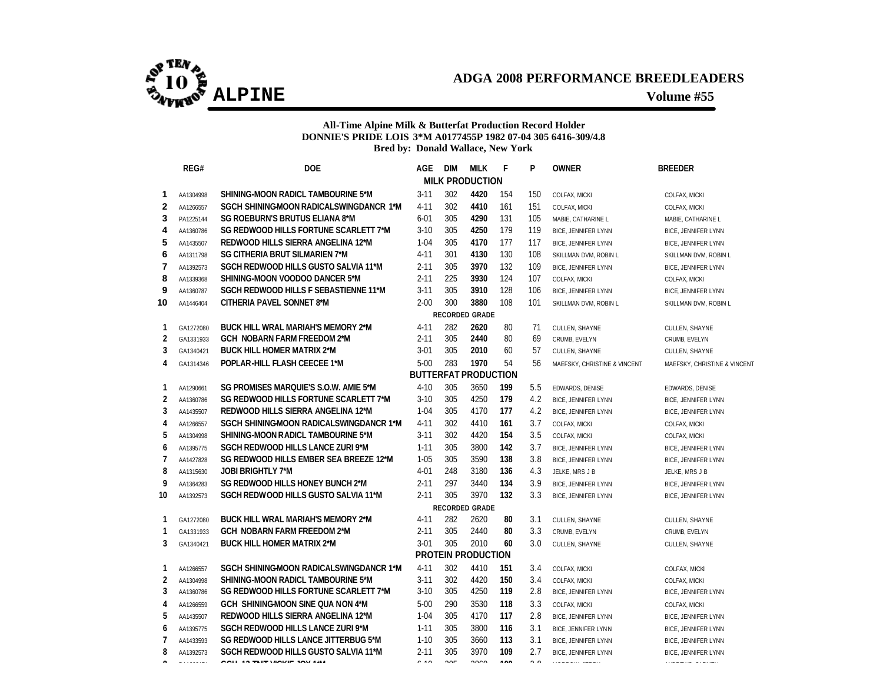

### **All-Time Alpine Milk & Butterfat Production Record Holder DONNIE'S PRIDE LOIS 3\*M A0177455P 1982 07-04 305 6416-309/4.8 Bred by: Donald Wallace, New York**

|                | REG#      | <b>DOE</b>                                  | AGE.     | <b>DIM</b> | <b>MILK</b>                 | F              | P             | <b>OWNER</b>                 | <b>BREEDER</b>               |
|----------------|-----------|---------------------------------------------|----------|------------|-----------------------------|----------------|---------------|------------------------------|------------------------------|
|                |           |                                             |          |            | <b>MILK PRODUCTION</b>      |                |               |                              |                              |
| 1              | AA1304998 | SHINING-MOON RADICL TAMBOURINE 5*M          | $3 - 11$ | 302        | 4420                        | 154            | 150           | COLFAX, MICKI                | COLFAX, MICKI                |
| 2              | AA1266557 | SGCH SHINING-MOON RADICALSWINGDANCR 1*M     | $4 - 11$ | 302        | 4410                        | 161            | 151           | COLFAX, MICKI                | COLFAX, MICKI                |
| 3              | PA1225144 | <b>SG ROEBURN'S BRUTUS ELIANA 8*M</b>       | $6 - 01$ | 305        | 4290                        | 131            | 105           | MABIE, CATHARINE L           | MABIE, CATHARINE L           |
| 4              | AA1360786 | SG REDWOOD HILLS FORTUNE SCARLETT 7*M       | $3 - 10$ | 305        | 4250                        | 179            | 119           | BICE, JENNIFER LYNN          | <b>BICE, JENNIFER LYNN</b>   |
| 5              | AA1435507 | REDWOOD HILLS SIERRA ANGELINA 12*M          | $1 - 04$ | 305        | 4170                        | 177            | 117           | <b>BICE, JENNIFER LYNN</b>   | <b>BICE, JENNIFER LYNN</b>   |
| 6              | AA1311798 | <b>SG CITHERIA BRUT SILMARIEN 7*M</b>       | $4 - 11$ | 301        | 4130                        | 130            | 108           | SKILLMAN DVM, ROBIN L        | SKILLMAN DVM, ROBIN L        |
| 7              | AA1392573 | <b>SGCH REDWOOD HILLS GUSTO SALVIA 11*M</b> | $2 - 11$ | 305        | 3970                        | 132            | 109           | <b>BICE, JENNIFER LYNN</b>   | <b>BICE, JENNIFER LYNN</b>   |
| 8              | AA1339368 | SHINING-MOON VOODOO DANCER 5*M              | $2 - 11$ | 225        | 3930                        | 124            | 107           | COLFAX, MICKI                | COLFAX, MICKI                |
| 9              | AA1360787 | SGCH REDWOOD HILLS F SEBASTIENNE 11*M       | $3 - 11$ | 305        | 3910                        | 128            | 106           | <b>BICE, JENNIFER LYNN</b>   | <b>BICE, JENNIFER LYNN</b>   |
| 10             | AA1446404 | CITHERIA PAVEL SONNET 8*M                   | $2 - 00$ | 300        | 3880                        | 108            | 101           | SKILLMAN DVM, ROBIN L        | SKILLMAN DVM, ROBIN L        |
|                |           |                                             |          |            | <b>RECORDED GRADE</b>       |                |               |                              |                              |
| 1              | GA1272080 | <b>BUCK HILL WRAL MARIAH'S MEMORY 2*M</b>   | $4 - 11$ | 282        | 2620                        | 80             | 71            | CULLEN, SHAYNE               | CULLEN, SHAYNE               |
| $\overline{2}$ | GA1331933 | <b>GCH NOBARN FARM FREEDOM 2*M</b>          | $2 - 11$ | 305        | 2440                        | 80             | 69            | CRUMB, EVELYN                | CRUMB, EVELYN                |
| 3              | GA1340421 | <b>BUCK HILL HOMER MATRIX 2*M</b>           | $3 - 01$ | 305        | 2010                        | 60             | 57            | CULLEN, SHAYNE               | CULLEN, SHAYNE               |
| 4              | GA1314346 | POPLAR-HILL FLASH CEECEE 1*M                | $5-00$   | 283        | 1970                        | 54             | 56            | MAEFSKY, CHRISTINE & VINCENT | MAEFSKY, CHRISTINE & VINCENT |
|                |           |                                             |          |            | <b>BUTTERFAT PRODUCTION</b> |                |               |                              |                              |
| 1              | AA1290661 | SG PROMISES MARQUIE'S S.O.W. AMIE 5*M       | $4 - 10$ | 305        | 3650                        | 199            | 5.5           | EDWARDS, DENISE              | EDWARDS, DENISE              |
| $\overline{2}$ | AA1360786 | SG REDWOOD HILLS FORTUNE SCARLETT 7*M       | $3 - 10$ | 305        | 4250                        | 179            | 4.2           | <b>BICE, JENNIFER LYNN</b>   | BICE, JENNIFER LYNN          |
| 3              | AA1435507 | REDWOOD HILLS SIERRA ANGELINA 12*M          | $1 - 04$ | 305        | 4170                        | 177            | 4.2           | <b>BICE, JENNIFER LYNN</b>   | BICE, JENNIFER LYNN          |
| 4              | AA1266557 | SGCH SHINING-MOON RADICALSWINGDANCR 1*M     | $4 - 11$ | 302        | 4410                        | 161            | 3.7           | COLFAX, MICKI                | COLFAX, MICKI                |
| 5              | AA1304998 | SHINING-MOON RADICL TAMBOURINE 5*M          | $3 - 11$ | 302        | 4420                        | 154            | 3.5           | COLFAX, MICKI                | COLFAX, MICKI                |
| 6              | AA1395775 | SGCH REDWOOD HILLS LANCE ZURI 9*M           | $1 - 11$ | 305        | 3800                        | 142            | 3.7           | BICE, JENNIFER LYNN          | BICE, JENNIFER LYNN          |
| 7              | AA1427828 | SG REDWOOD HILLS EMBER SEA BREEZE 12*M      | $1 - 05$ | 305        | 3590                        | 138            | 3.8           | <b>BICE, JENNIFER LYNN</b>   | <b>BICE, JENNIFER LYNN</b>   |
| 8              | AA1315630 | <b>JOBI BRIGHTLY 7*M</b>                    | $4 - 01$ | 248        | 3180                        | 136            | 4.3           | JELKE, MRS J B               | JELKE, MRS J B               |
| 9              | AA1364283 | SG REDWOOD HILLS HONEY BUNCH 2*M            | $2 - 11$ | 297        | 3440                        | 134            | 3.9           | <b>BICE, JENNIFER LYNN</b>   | <b>BICE, JENNIFER LYNN</b>   |
| 10             | AA1392573 | SGCH REDWOOD HILLS GUSTO SALVIA 11*M        | $2 - 11$ | 305        | 3970                        | 132            | 3.3           | <b>BICE, JENNIFER LYNN</b>   | BICE, JENNIFER LYNN          |
|                |           |                                             |          |            | <b>RECORDED GRADE</b>       |                |               |                              |                              |
| 1              | GA1272080 | <b>BUCK HILL WRAL MARIAH'S MEMORY 2*M</b>   | $4 - 11$ | 282        | 2620                        | 80             | 3.1           | CULLEN, SHAYNE               | CULLEN, SHAYNE               |
| 1              | GA1331933 | <b>GCH NOBARN FARM FREEDOM 2*M</b>          | $2 - 11$ | 305        | 2440                        | 80             | 3.3           | CRUMB, EVELYN                | CRUMB, EVELYN                |
| 3              | GA1340421 | <b>BUCK HILL HOMER MATRIX 2*M</b>           | $3-01$   | 305        | 2010                        | 60             | 3.0           | CULLEN, SHAYNE               | CULLEN, SHAYNE               |
|                |           |                                             |          |            | PROTEIN PRODUCTION          |                |               |                              |                              |
| 1              | AA1266557 | SGCH SHINING-MOON RADICALSWINGDANCR 1*M     | $4 - 11$ | 302        | 4410                        | 151            | 3.4           | COLFAX, MICKI                | COLFAX, MICKI                |
| $\overline{2}$ | AA1304998 | SHINING-MOON RADICL TAMBOURINE 5*M          | $3 - 11$ | 302        | 4420                        | 150            | 3.4           | COLFAX, MICKI                | COLFAX, MICKI                |
| 3              | AA1360786 | SG REDWOOD HILLS FORTUNE SCARLETT 7*M       | $3 - 10$ | 305        | 4250                        | 119            | 2.8           | <b>BICE, JENNIFER LYNN</b>   | <b>BICE, JENNIFER LYNN</b>   |
| 4              | AA1266559 | GCH SHINING-MOON SINE QUA NON 4*M           | $5 - 00$ | 290        | 3530                        | 118            | 3.3           | COLFAX, MICKI                | COLFAX, MICKI                |
| 5              | AA1435507 | REDWOOD HILLS SIERRA ANGELINA 12*M          | $1 - 04$ | 305        | 4170                        | 117            | 2.8           | <b>BICE, JENNIFER LYNN</b>   | <b>BICE, JENNIFER LYNN</b>   |
| 6              | AA1395775 | SGCH REDWOOD HILLS LANCE ZURI 9*M           | $1 - 11$ | 305        | 3800                        | 116            | 3.1           | BICE, JENNIFER LYNN          | <b>BICE, JENNIFER LYNN</b>   |
| 7              | AA1433593 | SG REDWOOD HILLS LANCE JITTERBUG 5*M        | $1 - 10$ | 305        | 3660                        | 113            | 3.1           | <b>BICE, JENNIFER LYNN</b>   | <b>BICE, JENNIFER LYNN</b>   |
| 8              | AA1392573 | SGCH REDWOOD HILLS GUSTO SALVIA 11*M        | $2 - 11$ | 305        | 3970                        | 109            | 2.7           | <b>BICE, JENNIFER LYNN</b>   | <b>BICE, JENNIFER LYNN</b>   |
| $\hat{ }$      |           | 0.011.40.7107100107.1017.411                | $1 - 40$ | $00 -$     | $\sim$ $\sim$               | $\overline{1}$ | $\sim$ $\sim$ |                              |                              |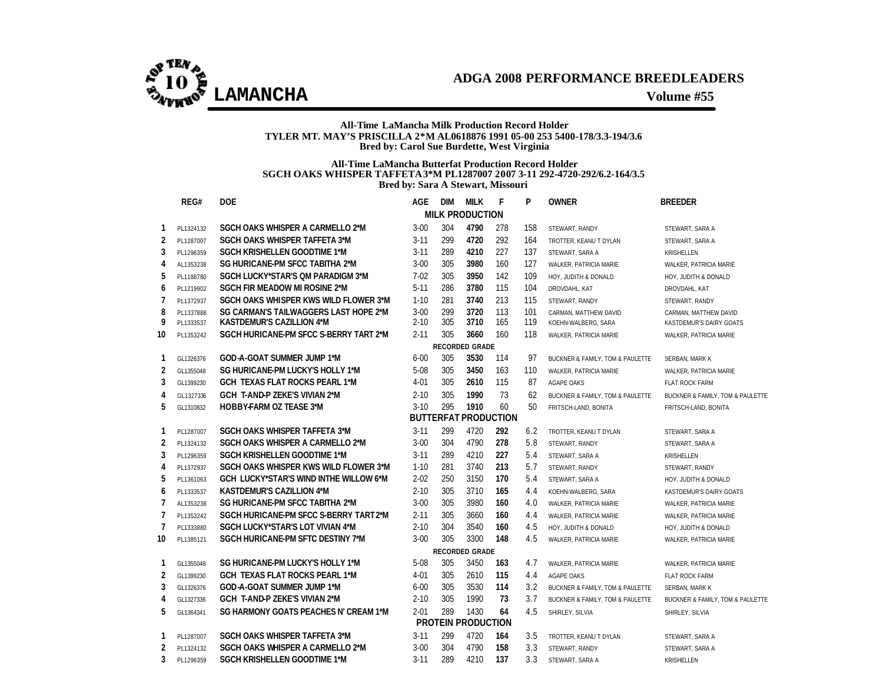

#### **All-Time LaMancha Milk Production Record Holder TYLER MT. MAY'S PRISCILLA 2\*M AL0618876 1991 05-00 253 5400-178/3.3-194/3.6 Bred by: Carol Sue Burdette, West Virginia**

#### **All-Time LaMancha Butterfat Production Record Holder SGCH OAKS WHISPER TAFFETA 3\*M PL1287007 2007 3-11 292-4720-292/6.2-164/3.5 Bred by: Sara A Stewart, Missouri**

|                | REG#      | <b>DOE</b>                                    | AGE      | <b>DIM</b> | <b>MILK</b>                 | F   | P   | <b>OWNER</b>                     | <b>BREEDER</b>                   |
|----------------|-----------|-----------------------------------------------|----------|------------|-----------------------------|-----|-----|----------------------------------|----------------------------------|
|                |           |                                               |          |            | <b>MILK PRODUCTION</b>      |     |     |                                  |                                  |
| 1              | PL1324132 | SGCH OAKS WHISPER A CARMELLO 2*M              | $3 - 00$ | 304        | 4790                        | 278 | 158 | STEWART, RANDY                   | STEWART, SARA A                  |
| 2              | PL1287007 | <b>SGCH OAKS WHISPER TAFFETA 3*M</b>          | $3 - 11$ | 299        | 4720                        | 292 | 164 | TROTTER, KEANU T DYLAN           | STEWART, SARA A                  |
| 3              | PL1296359 | <b>SGCH KRISHELLEN GOODTIME 1*M</b>           | $3 - 11$ | 289        | 4210                        | 227 | 137 | STEWART, SARA A                  | KRISHELLEN                       |
| 4              | AL1353238 | SG HURICANE-PM SFCC TABITHA 2*M               | $3 - 00$ | 305        | 3980                        | 160 | 127 | WALKER, PATRICIA MARIE           | WALKER, PATRICIA MARIE           |
| 5              | PL1188780 | <b>SGCH LUCKY*STAR'S OM PARADIGM 3*M</b>      | $7 - 02$ | 305        | 3950                        | 142 | 109 | HOY, JUDITH & DONALD             | HOY, JUDITH & DONALD             |
| 6              | PL1219902 | <b>SGCH FIR MEADOW MI ROSINE 2*M</b>          | $5 - 11$ | 286        | 3780                        | 115 | 104 | DROVDAHL, KAT                    | DROVDAHL, KAT                    |
| 7              | PL1372937 | SGCH OAKS WHISPER KWS WILD FLOWER 3*M         | $1 - 10$ | 281        | 3740                        | 213 | 115 | STEWART, RANDY                   | STEWART, RANDY                   |
| 8              | PL1337888 | SG CARMAN'S TAILWAGGERS LAST HOPE 2*M         | $3 - 00$ | 299        | 3720                        | 113 | 101 | CARMAN, MATTHEW DAVID            | CARMAN, MATTHEW DAVID            |
| 9              | PL1333537 | <b>KASTDEMUR'S CAZILLION 4*M</b>              | $2 - 10$ | 305        | 3710                        | 165 | 119 | KOEHN-WALBERG, SARA              | KASTDEMUR'S DAIRY GOATS          |
| 10             | PL1353242 | SGCH HURICANE-PM SFCC S-BERRY TART 2*M        | $2 - 11$ | 305        | 3660                        | 160 | 118 | WALKER, PATRICIA MARIE           | WALKER, PATRICIA MARIE           |
|                |           |                                               |          |            | <b>RECORDED GRADE</b>       |     |     |                                  |                                  |
| 1              | GL1326376 | GOD-A-GOAT SUMMER JUMP 1*M                    | $6 - 00$ | 305        | 3530                        | 114 | 97  | BUCKNER & FAMILY, TOM & PAULETTE | SERBAN, MARK K                   |
| 2              | GL1355048 | SG HURICANE-PM LUCKY'S HOLLY 1*M              | 5-08     | 305        | 3450                        | 163 | 110 | WALKER, PATRICIA MARIE           | WALKER, PATRICIA MARIE           |
| 3              | GL1399230 | GCH TEXAS FLAT ROCKS PEARL 1*M                | $4 - 01$ | 305        | 2610                        | 115 | 87  | AGAPE OAKS                       | <b>FLAT ROCK FARM</b>            |
| 4              | GL1327336 | <b>GCH T-AND-P ZEKE'S VIVIAN 2*M</b>          | $2 - 10$ | 305        | 1990                        | 73  | 62  | BUCKNER & FAMILY, TOM & PAULETTE | BUCKNER & FAMILY, TOM & PAULETTE |
| 5              | GL1310832 | <b>HOBBY-FARM OZ TEASE 3*M</b>                | $3-10$   | 295        | 1910                        | 60  | 50  | FRITSCH-LAND, BONITA             | FRITSCH-LAND, BONITA             |
|                |           |                                               |          |            | <b>BUTTERFAT PRODUCTION</b> |     |     |                                  |                                  |
| 1              | PL1287007 | <b>SGCH OAKS WHISPER TAFFETA 3*M</b>          | $3 - 11$ | 299        | 4720                        | 292 | 6.2 | TROTTER, KEANU T DYLAN           | STEWART, SARA A                  |
| 2              | PL1324132 | SGCH OAKS WHISPER A CARMELLO 2*M              | $3 - 00$ | 304        | 4790                        | 278 | 5.8 | STEWART, RANDY                   | STEWART, SARA A                  |
| 3              | PL1296359 | <b>SGCH KRISHELLEN GOODTIME 1*M</b>           | $3 - 11$ | 289        | 4210                        | 227 | 5.4 | STEWART, SARA A                  | <b>KRISHELLEN</b>                |
| 4              | PL1372937 | SGCH OAKS WHISPER KWS WILD FLOWER 3*M         | $1 - 10$ | 281        | 3740                        | 213 | 5.7 | STEWART, RANDY                   | STEWART, RANDY                   |
| 5              | PL1361063 | <b>GCH LUCKY*STAR'S WIND INTHE WILLOW 6*M</b> | $2 - 02$ | 250        | 3150                        | 170 | 5.4 | STEWART, SARA A                  | HOY, JUDITH & DONALD             |
| 6              | PL1333537 | <b>KASTDEMUR'S CAZILLION 4*M</b>              | $2 - 10$ | 305        | 3710                        | 165 | 4.4 | KOEHN-WALBERG, SARA              | KASTDEMUR'S DAIRY GOATS          |
| $\overline{1}$ | AL1353238 | SG HURICANE-PM SFCC TABITHA 2*M               | $3 - 00$ | 305        | 3980                        | 160 | 4.0 | WALKER, PATRICIA MARIE           | WALKER, PATRICIA MARIE           |
| $\overline{1}$ | PL1353242 | SGCH HURICANE-PM SFCC S-BERRY TART 2*M        | $2 - 11$ | 305        | 3660                        | 160 | 4.4 | WALKER, PATRICIA MARIE           | WALKER, PATRICIA MARIE           |
| 7              | PL1333880 | <b>SGCH LUCKY*STAR'S LOT VIVIAN 4*M</b>       | $2 - 10$ | 304        | 3540                        | 160 | 4.5 | HOY, JUDITH & DONALD             | HOY, JUDITH & DONALD             |
| 10             | PL1385121 | SGCH HURICANE-PM SFTC DESTINY 7*M             | $3 - 00$ | 305        | 3300                        | 148 | 4.5 | WALKER, PATRICIA MARIE           | WALKER, PATRICIA MARIE           |
|                |           |                                               |          |            | <b>RECORDED GRADE</b>       |     |     |                                  |                                  |
| 1              | GL1355048 | SG HURICANE-PM LUCKY'S HOLLY 1*M              | $5 - 08$ | 305        | 3450                        | 163 | 4.7 | WALKER, PATRICIA MARIE           | WALKER, PATRICIA MARIE           |
| 2              | GL1399230 | <b>GCH TEXAS FLAT ROCKS PEARL 1*M</b>         | $4 - 01$ | 305        | 2610                        | 115 | 4.4 | AGAPE OAKS                       | <b>FLAT ROCK FARM</b>            |
| 3              | GL1326376 | GOD-A-GOAT SUMMER JUMP 1*M                    | $6 - 00$ | 305        | 3530                        | 114 | 3.2 | BUCKNER & FAMILY, TOM & PAULETTE | SERBAN, MARK K                   |
| 4              | GL1327336 | GCH T-AND-P ZEKE'S VIVIAN 2*M                 | $2 - 10$ | 305        | 1990                        | 73  | 3.7 | BUCKNER & FAMILY, TOM & PAULETTE | BUCKNER & FAMILY, TOM & PAULETTE |
| 5              | GL1364341 | SG HARMONY GOATS PEACHES N' CREAM 1*M         | $2 - 01$ | 289        | 1430                        | 64  | 4.5 | SHIRLEY, SILVIA                  | SHIRLEY, SILVIA                  |
|                |           |                                               |          |            | PROTEIN PRODUCTION          |     |     |                                  |                                  |
| 1              | PL1287007 | SGCH OAKS WHISPER TAFFETA 3*M                 | $3 - 11$ | 299        | 4720                        | 164 | 3.5 | TROTTER, KEANU T DYLAN           | STEWART, SARA A                  |
| 2              | PL1324132 | <b>SGCH OAKS WHISPER A CARMELLO 2*M</b>       | $3 - 00$ | 304        | 4790                        | 158 | 3.3 | STEWART, RANDY                   | STEWART, SARA A                  |
| 3              | PL1296359 | <b>SGCH KRISHELLEN GOODTIME 1*M</b>           | $3 - 11$ | 289        | 4210                        | 137 | 3.3 | STEWART, SARA A                  | KRISHELLEN                       |

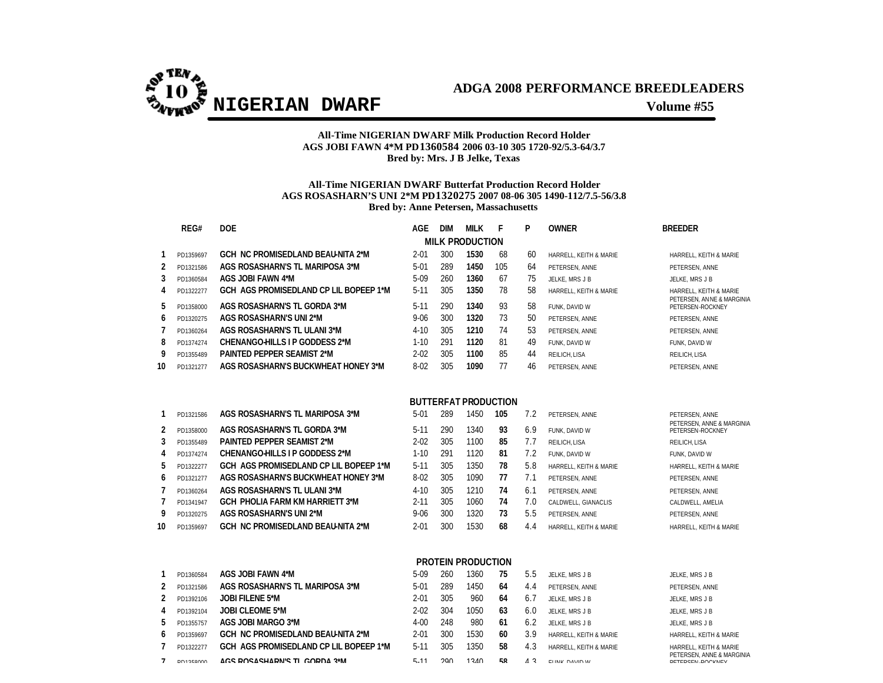

### **All-Time NIGERIAN DWARF Milk Production Record Holder AGS JOBI FAWN 4\*M PD1360584 2006 03-10 305 1720-92/5.3-64/3.7 Bred by: Mrs. J B Jelke, Texas**

### **All-Time NIGERIAN DWARF Butterfat Production Record Holder AGS ROSASHARN'S UNI 2\*M PD1320275 2007 08-06 305 1490-112/7.5-56/3.8 Bred by: Anne Petersen, Massachusetts**

|    | REG#      | <b>DOE</b>                               | <b>AGE</b> | <b>DIM</b> | MILK                        | F   | P   | <b>OWNER</b>           | <b>BREEDER</b>                                 |
|----|-----------|------------------------------------------|------------|------------|-----------------------------|-----|-----|------------------------|------------------------------------------------|
|    |           |                                          |            |            | <b>MILK PRODUCTION</b>      |     |     |                        |                                                |
|    | PD1359697 | <b>GCH NC PROMISEDLAND BEAU-NITA 2*M</b> | $2 - 01$   | 300        | 1530                        | 68  | 60  | HARRELL, KEITH & MARIE | HARRELL, KEITH & MARIE                         |
| 2  | PD1321586 | AGS ROSASHARN'S TL MARIPOSA 3*M          | $5 - 01$   | 289        | 1450                        | 105 | 64  | PETERSEN, ANNE         | PETERSEN, ANNE                                 |
| 3  | PD1360584 | AGS JOBI FAWN 4*M                        | 5-09       | 260        | 1360                        | 67  | 75  | JELKE, MRS J B         | JELKE, MRS J B                                 |
| 4  | PD1322277 | GCH AGS PROMISEDLAND CP LIL BOPEEP 1*M   | $5-11$     | 305        | 1350                        | 78  | 58  | HARRELL, KEITH & MARIE | HARRELL, KEITH & MARIE                         |
| 5  | PD1358000 | AGS ROSASHARN'S TL GORDA 3*M             | $5 - 11$   | 290        | 1340                        | 93  | 58  | FUNK, DAVID W          | PETERSEN, AN NE & MARGINIA<br>PETERSEN-ROCKNEY |
| 6  | PD1320275 | AGS ROSASHARN'S UNI 2*M                  | $9 - 06$   | 300        | 1320                        | 73  | 50  | PETERSEN, ANNE         | PETERSEN, ANNE                                 |
|    | PD1360264 | AGS ROSASHARN'S TL ULANI 3*M             | $4 - 10$   | 305        | 1210                        | 74  | 53  | PETERSEN, ANNE         | PETERSEN, ANNE                                 |
| 8  | PD1374274 | CHENANGO-HILLS I P GODDESS 2*M           | $1-10$     | 291        | 1120                        | 81  | 49  | FUNK, DAVID W          | FUNK, DAVID W                                  |
| 9  | PD1355489 | PAINTED PEPPER SEAMIST 2*M               | $2 - 02$   | 305        | 1100                        | 85  | 44  | REILICH, LISA          | REILICH, LISA                                  |
| 10 | PD1321277 | AGS ROSASHARN'S BUCKWHEAT HONEY 3*M      | $8 - 02$   | 305        | 1090                        | 77  | 46  | PETERSEN, ANNE         | PETERSEN, ANNE                                 |
|    |           |                                          |            |            |                             |     |     |                        |                                                |
|    |           |                                          |            |            | <b>BUTTERFAT PRODUCTION</b> |     |     |                        |                                                |
|    | PD1321586 | AGS ROSASHARN'S TL MARIPOSA 3*M          | $5-01$     | 289        | 1450                        | 105 | 7.2 | PETERSEN, ANNE         | PETERSEN, ANNE                                 |
| 2  | PD1358000 | AGS ROSASHARN'S TL GORDA 3*M             | $5-11$     | 290        | 1340                        | 93  | 6.9 | FUNK. DAVID W          | PETERSEN, ANNE & MARGINIA<br>PETERSEN-ROCKNEY  |
| 3  | PD1355489 | <b>PAINTED PEPPER SEAMIST 2*M</b>        | $2 - 02$   | 305        | 1100                        | 85  | 7.7 | REILICH. LISA          | REILICH, LISA                                  |
| 4  | PD1374274 | <b>CHENANGO-HILLS I P GODDESS 2*M</b>    | $1 - 10$   | 291        | 1120                        | 81  | 7.2 | FUNK. DAVID W          | FUNK. DAVID W                                  |
| 5  | PD1322277 | GCH AGS PROMISEDLAND CP LIL BOPEEP 1*M   | $5 - 11$   | 305        | 1350                        | 78  | 5.8 | HARRELL, KEITH & MARIE | HARRELL, KEITH & MARIE                         |
| 6  | PD1321277 | AGS ROSASHARN'S BUCKWHEAT HONEY 3*M      | $8 - 02$   | 305        | 1090                        | 77  | 7.1 | PETERSEN, ANNE         | PETERSEN, ANNE                                 |
|    | PD1360264 | AGS ROSASHARN'S TL ULANI 3*M             | $4 - 10$   | 305        | 1210                        | 74  | 6.1 | PETERSEN, ANNE         | PETERSEN, ANNE                                 |
|    | PD1341947 | <b>GCH PHOLIA FARM KM HARRIETT 3*M</b>   | $2 - 11$   | 305        | 1060                        | 74  | 7.0 | CALDWELL, GIANACLIS    | CALDWELL, AMELIA                               |
| 9  | PD1320275 | AGS ROSASHARN'S UNI 2*M                  | $9 - 06$   | 300        | 1320                        | 73  | 5.5 | PETERSEN, ANNE         | PETERSEN, ANNE                                 |
| 10 | PD1359697 | <b>GCH NC PROMISEDLAND BEAU-NITA 2*M</b> | $2 - 01$   | 300        | 1530                        | 68  | 4.4 | HARRELL, KEITH & MARIE | HARRELL, KEITH & MARIE                         |
|    |           |                                          |            |            |                             |     |     |                        |                                                |

### **PROTEIN PRODUCTION**

|              | PD1360584        | AGS JOBI FAWN 4*M                        | 5-09     | 260 | 360  | 75  | 5.5            | JELKE, MRS J B         | JELKE, MRS J B                                |
|--------------|------------------|------------------------------------------|----------|-----|------|-----|----------------|------------------------|-----------------------------------------------|
|              | PD1321586        | AGS ROSASHARN'S TL MARIPOSA 3*M          | $5-01$   | 289 | 1450 | 64  | 4.4            | PETERSEN, ANNE         | PETERSEN, ANNE                                |
|              | PD1392106        | <b>JOBI FILENE 5*M</b>                   | 2-01     | 305 | 960  | 64  | 6.7            | JELKE, MRS J B         | JELKE, MRS J B                                |
|              | PD1392104        | <b>JOBI CLEOME 5*M</b>                   | $2 - 02$ | 304 | 1050 | 63  | 6.0            | JELKE, MRS J B         | JELKE, MRS J B                                |
|              | PD1355757        | AGS JOBI MARGO 3*M                       | $4 - 00$ | 248 | 980  | 61  | -6.2           | JELKE, MRS J B         | JELKE, MRS J B                                |
| <sub>6</sub> | PD1359697        | <b>GCH NC PROMISEDLAND BEAU-NITA 2*M</b> | 2-01     | 300 | 1530 | 60  | 3.9            | HARRELL, KEITH & MARIE | HARRELL, KEITH & MARIE                        |
|              | PD1322277        | GCH AGS PROMISEDLAND CP LIL BOPEEP 1*M   | $5-11$   | 305 | 1350 | 58  | 4.3            | HARRELL, KEITH & MARIE | HARRELL, KEITH & MARIE                        |
|              | <b>DD12F0000</b> | ACS DOSASHADNIS TI CODDA 2*M             | E 11     | ാവ  | 1210 | FО. | 1 <sup>2</sup> | FUNIV DAVID W          | PETERSEN, ANNE & MARGINIA<br>DETEDCEN DOCKNEY |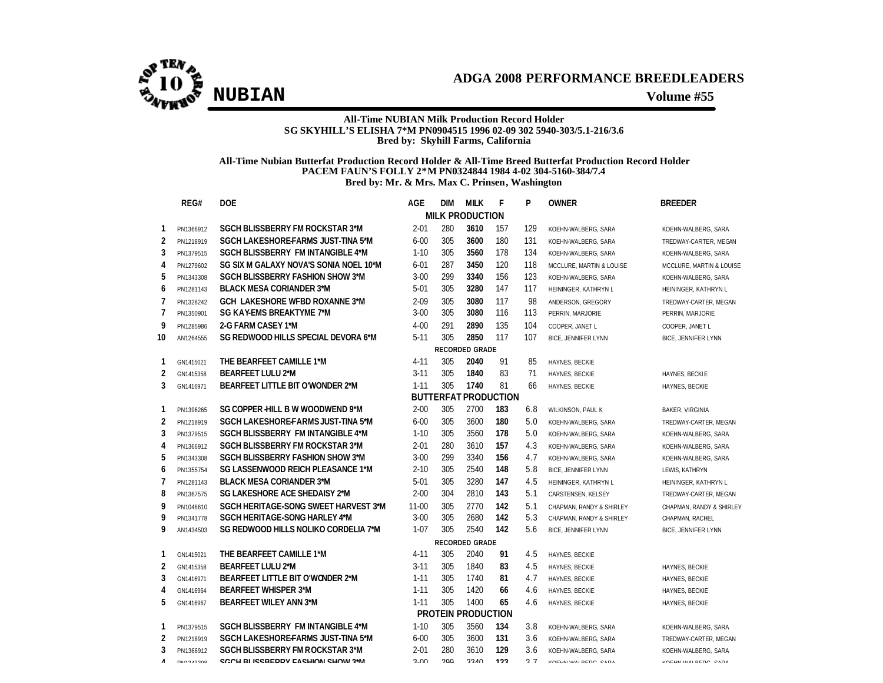#### **All-Time NUBIAN Milk Production Record Holder SG SKYHILL'S ELISHA 7\*M PN0904515 1996 02-09 302 5940-303/5.1-216/3.6 Bred by: Skyhill Farms, California**

#### **All-Time Nubian Butterfat Production Record Holder & All-Time Breed Butterfat Production Record Holder PACEM FAUN'S FOLLY 2\*M PN0324844 1984 4-02 304-5160-384/7.4 Bred by: Mr. & Mrs. Max C. Prinsen, Washington**

|                | REG#                  | <b>DOE</b>                                | AGE         | dim | <b>MILK</b>                 | F   | P   | <b>OWNER</b>               | <b>BREEDER</b>             |  |  |  |  |
|----------------|-----------------------|-------------------------------------------|-------------|-----|-----------------------------|-----|-----|----------------------------|----------------------------|--|--|--|--|
|                |                       |                                           |             |     | <b>MILK PRODUCTION</b>      |     |     |                            |                            |  |  |  |  |
| 1              | PN1366912             | SGCH BLISSBERRY FM ROCKSTAR 3*M           | $2 - 01$    | 280 | 3610                        | 157 | 129 | KOEHN-WALBERG, SARA        | KOEHN-WALBERG, SARA        |  |  |  |  |
| $\overline{2}$ | PN1218919             | <b>SGCH LAKESHORE-FARMS JUST-TINA 5*M</b> | $6 - 00$    | 305 | 3600                        | 180 | 131 | KOEHN-WALBERG, SARA        | TREDWAY-CARTER, MEGAN      |  |  |  |  |
| 3              | PN1379515             | <b>SGCH BLISSBERRY FM INTANGIBLE 4*M</b>  | $1 - 10$    | 305 | 3560                        | 178 | 134 | KOEHN-WALBERG, SARA        | KOEHN-WALBERG, SARA        |  |  |  |  |
| 4              | PN1279602             | SG SIX M GALAXY NOVA'S SONIA NOEL 10*M    | $6 - 01$    | 287 | 3450                        | 120 | 118 | MCCLURE, MARTIN & LOUISE   | MCCLURE, MARTIN & LOUISE   |  |  |  |  |
| 5              | PN1343308             | <b>SGCH BLISSBERRY FASHION SHOW 3*M</b>   | $3-00$      | 299 | 3340                        | 156 | 123 | KOEHN-WALBERG, SARA        | KOEHN-WALBERG, SARA        |  |  |  |  |
| 6              | PN1281143             | <b>BLACK MESA CORIANDER 3*M</b>           | $5 - 01$    | 305 | 3280                        | 147 | 117 | HEININGER, KATHRYN L       | HEININGER, KATHRYN L       |  |  |  |  |
| 7              | PN1328242             | <b>GCH LAKESHORE WFBD ROXANNE 3*M</b>     | $2 - 09$    | 305 | 3080                        | 117 | 98  | ANDERSON, GREGORY          | TREDWAY-CARTER, MEGAN      |  |  |  |  |
| 7              | PN1350901             | <b>SG KAY-EMS BREAKTYME 7*M</b>           | $3 - 00$    | 305 | 3080                        | 116 | 113 | PERRIN, MARJORIE           | PERRIN, MARJORIE           |  |  |  |  |
| 9              | PN1285986             | 2-G FARM CASEY 1*M                        | $4 - 00$    | 291 | 2890                        | 135 | 104 | COOPER, JANET L            | COOPER, JANET L            |  |  |  |  |
| 10             | AN1264555             | SG REDWOOD HILLS SPECIAL DEVORA 6*M       | $5 - 11$    | 305 | 2850                        | 117 | 107 | <b>BICE, JENNIFER LYNN</b> | <b>BICE, JENNIFER LYNN</b> |  |  |  |  |
|                | <b>RECORDED GRADE</b> |                                           |             |     |                             |     |     |                            |                            |  |  |  |  |
| 1              | GN1415021             | THE BEARFEET CAMILLE 1*M                  | $4 - 11$    | 305 | 2040                        | 91  | 85  | HAYNES, BECKIE             |                            |  |  |  |  |
| 2              | GN1415358             | <b>BEARFEET LULU 2*M</b>                  | $3 - 11$    | 305 | 1840                        | 83  | 71  | HAYNES, BECKIE             | HAYNES, BECKIE             |  |  |  |  |
| 3              | GN1416971             | <b>BEARFEET LITTLE BIT O'WONDER 2*M</b>   | $1 - 11$    | 305 | 1740                        | 81  | 66  | HAYNES, BECKIE             | HAYNES, BECKIE             |  |  |  |  |
|                |                       |                                           |             |     | <b>BUTTERFAT PRODUCTION</b> |     |     |                            |                            |  |  |  |  |
| 1              | PN1396265             | SG COPPER HILL B W WOODWEND 9*M           | $2 - 00$    | 305 | 2700                        | 183 | 6.8 | WILKINSON, PAUL K          | <b>BAKER, VIRGINIA</b>     |  |  |  |  |
| 2              | PN1218919             | SGCH LAKESHORE-FARMS JUST-TINA 5*M        | $6 - 00$    | 305 | 3600                        | 180 | 5.0 | KOEHN-WALBERG, SARA        | TREDWAY-CARTER, MEGAN      |  |  |  |  |
| 3              | PN1379515             | <b>SGCH BLISSBERRY FM INTANGIBLE 4*M</b>  | $1 - 10$    | 305 | 3560                        | 178 | 5.0 | KOEHN-WALBERG, SARA        | KOEHN-WALBERG, SARA        |  |  |  |  |
| 4              | PN1366912             | <b>SGCH BLISSBERRY FM ROCKSTAR 3*M</b>    | $2 - 01$    | 280 | 3610                        | 157 | 4.3 | KOEHN-WALBERG, SARA        | KOEHN-WALBERG, SARA        |  |  |  |  |
| 5              | PN1343308             | <b>SGCH BLISSBERRY FASHION SHOW 3*M</b>   | $3-00$      | 299 | 3340                        | 156 | 4.7 | KOEHN-WALBERG, SARA        | KOEHN-WALBERG, SARA        |  |  |  |  |
| 6              | PN1355754             | SG LASSENWOOD REICH PLEASANCE 1*M         | $2 - 10$    | 305 | 2540                        | 148 | 5.8 | <b>BICE, JENNIFER LYNN</b> | LEWIS, KATHRYN             |  |  |  |  |
| $\overline{7}$ | PN1281143             | <b>BLACK MESA CORIANDER 3*M</b>           | $5-01$      | 305 | 3280                        | 147 | 4.5 | HEININGER, KATHRYN L       | HEININGER, KATHRYN L       |  |  |  |  |
| 8              | PN1367575             | SG LAKESHORE ACE SHEDAISY 2*M             | $2 - 00$    | 304 | 2810                        | 143 | 5.1 | CARSTENSEN, KELSEY         | TREDWAY-CARTER, MEGAN      |  |  |  |  |
| 9              | PN1046610             | SGCH HERITAGE-SONG SWEET HARVEST 3*M      | $11 - 00$   | 305 | 2770                        | 142 | 5.1 | CHAPMAN, RANDY & SHIRLEY   | CHAPMAN, RANDY & SHIRLEY   |  |  |  |  |
| 9              | PN1341778             | <b>SGCH HERITAGE-SONG HARLEY 4*M</b>      | $3 - 00$    | 305 | 2680                        | 142 | 5.3 | CHAPMAN, RANDY & SHIRLEY   | CHAPMAN, RACHEL            |  |  |  |  |
| 9              | AN1434503             | SG REDWOOD HILLS NOLIKO CORDELIA 7*M      | $1 - 07$    | 305 | 2540                        | 142 | 5.6 | <b>BICE, JENNIFER LYNN</b> | <b>BICE, JENNIFER LYNN</b> |  |  |  |  |
|                |                       |                                           |             |     | <b>RECORDED GRADE</b>       |     |     |                            |                            |  |  |  |  |
| 1              | GN1415021             | THE BEARFEET CAMILLE 1*M                  | $4 - 11$    | 305 | 2040                        | 91  | 4.5 | HAYNES, BECKIE             |                            |  |  |  |  |
| 2              | GN1415358             | <b>BEARFEET LULU 2*M</b>                  | $3 - 11$    | 305 | 1840                        | 83  | 4.5 | HAYNES, BECKIE             | HAYNES, BECKIE             |  |  |  |  |
| 3              | GN1416971             | <b>BEARFEET LITTLE BIT O'WONDER 2*M</b>   | $1 - 11$    | 305 | 1740                        | 81  | 4.7 | HAYNES, BECKIE             | HAYNES, BECKIE             |  |  |  |  |
| 4              | GN1416964             | <b>BEARFEET WHISPER 3*M</b>               | $1 - 11$    | 305 | 1420                        | 66  | 4.6 | HAYNES, BECKIE             | HAYNES, BECKIE             |  |  |  |  |
| 5              | GN1416967             | <b>BEARFEET WILEY ANN 3*M</b>             | $1 - 11$    | 305 | 1400                        | 65  | 4.6 | HAYNES, BECKIE             | HAYNES, BECKIE             |  |  |  |  |
|                |                       |                                           |             |     | <b>PROTEIN PRODUCTION</b>   |     |     |                            |                            |  |  |  |  |
| 1              | PN1379515             | <b>SGCH BLISSBERRY FM INTANGIBLE 4*M</b>  | $1 - 10$    | 305 | 3560                        | 134 | 3.8 | KOEHN-WALBERG, SARA        | KOEHN-WALBERG, SARA        |  |  |  |  |
| 2              | PN1218919             | SGCH LAKESHORE-FARMS JUST-TINA 5*M        | $6 - 00$    | 305 | 3600                        | 131 | 3.6 | KOEHN-WALBERG, SARA        | TREDWAY-CARTER, MEGAN      |  |  |  |  |
| 3              | PN1366912             | SGCH BLISSBERRY FM ROCKSTAR 3*M           | $2 - 01$    | 280 | 3610                        | 129 | 3.6 | KOEHN-WALBERG, SARA        | KOEHN-WALBERG, SARA        |  |  |  |  |
| $\overline{A}$ | <b>DEISSION</b>       | COOLI DI ICCDEDDV EACLIIONI CLIONI 9*M    | $\Omega$ On | ากก | <b>ONCC</b>                 | 100 | 27  | KOELIN WALDEDO CADA        | KOELIN WALDEDO CADA        |  |  |  |  |

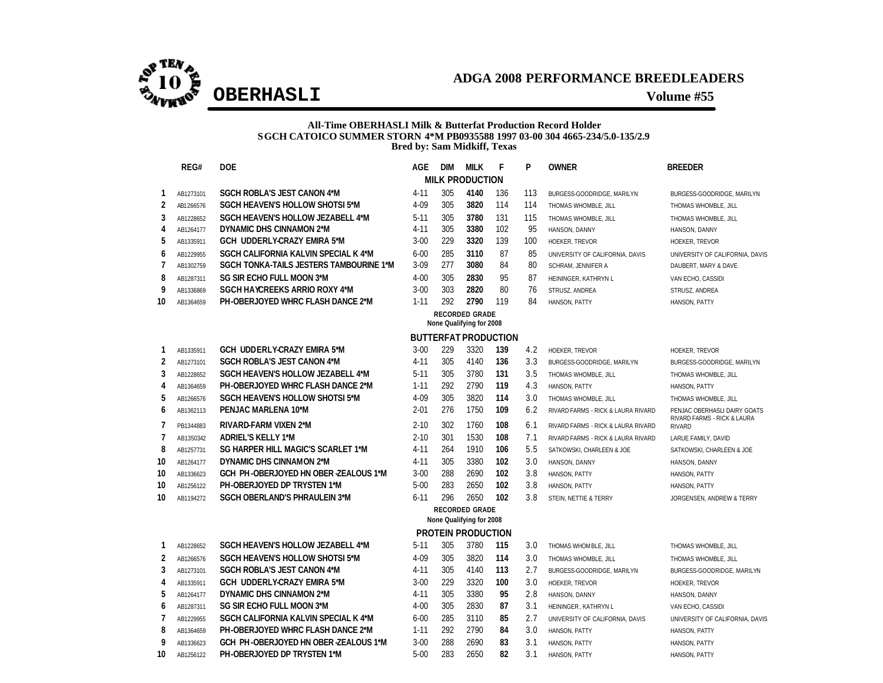

### **All-Time OBERHASLI Milk & Butterfat Production Record Holder SGCH CATOICO SUMMER STORN 4\*M PB0935588 1997 03-00 304 4665-234/5.0-135/2.9 Bred by: Sam Midkiff, Texas**

|                | REG#      | <b>DOE</b>                               | AGE      | <b>DIM</b> | <b>MILK</b>                                       | F                           | P   | <b>OWNER</b>                       | <b>BREEDER</b>                               |
|----------------|-----------|------------------------------------------|----------|------------|---------------------------------------------------|-----------------------------|-----|------------------------------------|----------------------------------------------|
|                |           |                                          |          |            | <b>MILK PRODUCTION</b>                            |                             |     |                                    |                                              |
| 1              | AB1273101 | <b>SGCH ROBLA'S JEST CANON 4*M</b>       | $4 - 11$ | 305        | 4140                                              | 136                         | 113 | BURGESS-GOODRIDGE, MARILYN         | BURGESS-GOODRIDGE, MARILYN                   |
| 2              | AB1266576 | <b>SGCH HEAVEN'S HOLLOW SHOTSI 5*M</b>   | 4-09     | 305        | 3820                                              | 114                         | 114 | THOMAS WHOMBLE, JILL               | THOMAS WHOMBLE, JILL                         |
| 3              | AB1228652 | <b>SGCH HEAVEN'S HOLLOW JEZABELL 4*M</b> | $5 - 11$ | 305        | 3780                                              | 131                         | 115 | THOMAS WHOMBLE, JILL               | THOMAS WHOMBLE, JILL                         |
| 4              | AB1264177 | DYNAMIC DHS CINNAMON 2*M                 | $4 - 11$ | 305        | 3380                                              | 102                         | 95  | HANSON, DANNY                      | HANSON, DANNY                                |
| 5              | AB1335911 | GCH UDDERLY-CRAZY EMIRA 5*M              | $3 - 00$ | 229        | 3320                                              | 139                         | 100 | HOEKER, TREVOR                     | HOEKER, TREVOR                               |
| 6              | AB1229955 | SGCH CALIFORNIA KALVIN SPECIAL K 4*M     | $6 - 00$ | 285        | 3110                                              | 87                          | 85  | UNIVERSITY OF CALIFORNIA, DAVIS    | UNIVERSITY OF CALIFORNIA, DAVIS              |
| 7              | AB1302759 | SGCH TONKA-TAILS JESTERS TAMBOURINE 1*M  | $3 - 09$ | 277        | 3080                                              | 84                          | 80  | SCHRAM, JENNIFER A                 | DAUBERT, MARY & DAVE                         |
| 8              | AB1287311 | SG SIR ECHO FULL MOON 3*M                | $4 - 00$ | 305        | 2830                                              | 95                          | 87  | HEININGER, KATHRYN L               | VAN ECHO, CASSIDI                            |
| 9              | AB1336869 | <b>SGCH HAYCREEKS ARRIO ROXY 4*M</b>     | $3 - 00$ | 303        | 2820                                              | 80                          | 76  | STRUSZ, ANDREA                     | STRUSZ, ANDREA                               |
| 10             | AB1364659 | <b>PH-OBERJOYED WHRC FLASH DANCE 2*M</b> | $1 - 11$ | 292        | 2790                                              | 119                         | 84  | HANSON, PATTY                      | HANSON, PATTY                                |
|                |           |                                          |          |            | <b>RECORDED GRADE</b><br>None Qualifying for 2008 |                             |     |                                    |                                              |
|                |           |                                          |          |            |                                                   | <b>BUTTERFAT PRODUCTION</b> |     |                                    |                                              |
| 1              | AB1335911 | GCH UDDERLY-CRAZY EMIRA 5*M              | $3-00$   | 229        | 3320                                              | 139                         | 4.2 | <b>HOEKER, TREVOR</b>              | <b>HOEKER, TREVOR</b>                        |
| 2              | AB1273101 | <b>SGCH ROBLA'S JEST CANON 4*M</b>       | $4 - 11$ | 305        | 4140                                              | 136                         | 3.3 | BURGESS-GOODRIDGE, MARILYN         | BURGESS-GOODRIDGE, MARILYN                   |
| 3              | AB1228652 | <b>SGCH HEAVEN'S HOLLOW JEZABELL 4*M</b> | $5 - 11$ | 305        | 3780                                              | 131                         | 3.5 | THOMAS WHOMBLE, JILL               | THOMAS WHOMBLE, JILL                         |
| 4              | AB1364659 | PH-OBERJOYED WHRC FLASH DANCE 2*M        | $1 - 11$ | 292        | 2790                                              | 119                         | 4.3 | HANSON, PATTY                      | HANSON, PATTY                                |
| 5              | AB1266576 | <b>SGCH HEAVEN'S HOLLOW SHOTSI 5*M</b>   | 4-09     | 305        | 3820                                              | 114                         | 3.0 | THOMAS WHOMBLE, JILL               | THOMAS WHOMBLE, JILL                         |
| 6              | AB1362113 | PENJAC MARLENA 10*M                      | $2 - 01$ | 276        | 1750                                              | 109                         | 6.2 | RIVARD FARMS - RICK & LAURA RIVARD | PENJAC OBERHASLI DAIRY GOATS                 |
| 7              | PB1344883 | <b>RIVARD-FARM VIXEN 2*M</b>             | $2 - 10$ | 302        | 1760                                              | 108                         | 6.1 | RIVARD FARMS - RICK & LAURA RIVARD | RIVARD FARMS - RICK & LAURA<br><b>RIVARD</b> |
| $\overline{1}$ | AB1350342 | <b>ADRIEL'S KELLY 1*M</b>                | $2 - 10$ | 301        | 1530                                              | 108                         | 7.1 | RIVARD FARMS - RICK & LAURA RIVARD | LARUE FAMILY, DAVID                          |
| 8              | AB1257731 | SG HARPER HILL MAGIC'S SCARLET 1*M       | $4 - 11$ | 264        | 1910                                              | 106                         | 5.5 | SATKOWSKI, CHARLEEN & JOE          | SATKOWSKI, CHARLEEN & JOE                    |
| 10             | AB1264177 | DYNAMIC DHS CINNAMON 2*M                 | $4 - 11$ | 305        | 3380                                              | 102                         | 3.0 | HANSON, DANNY                      | HANSON, DANNY                                |
| 10             | AB1336623 | GCH PH-OBERJOYED HN OBER-ZEALOUS 1*M     | $3 - 00$ | 288        | 2690                                              | 102                         | 3.8 | HANSON, PATTY                      | HANSON, PATTY                                |
| 10             | AB1256122 | PH-OBERJOYED DP TRYSTEN 1*M              | $5 - 00$ | 283        | 2650                                              | 102                         | 3.8 | HANSON, PATTY                      | HANSON, PATTY                                |
| 10             | AB1194272 | <b>SGCH OBERLAND'S PHRAULEIN 3*M</b>     | $6 - 11$ | 296        | 2650                                              | 102                         | 3.8 | STEIN, NETTIE & TERRY              | JORGENSEN, ANDREW & TERRY                    |
|                |           |                                          |          |            | <b>RECORDED GRADE</b>                             |                             |     |                                    |                                              |
|                |           |                                          |          |            | None Qualifying for 2008                          |                             |     |                                    |                                              |
|                |           |                                          |          |            | <b>PROTEIN PRODUCTION</b>                         |                             |     |                                    |                                              |
| 1              | AB1228652 | <b>SGCH HEAVEN'S HOLLOW JEZABELL 4*M</b> | $5 - 11$ | 305        | 3780                                              | 115                         | 3.0 | THOMAS WHOM BLE, JILL              | THOMAS WHOMBLE, JILL                         |
| 2              | AB1266576 | <b>SGCH HEAVEN'S HOLLOW SHOTSI 5*M</b>   | $4 - 09$ | 305        | 3820                                              | 114                         | 3.0 | THOMAS WHOMBLE, JILL               | THOMAS WHOMBLE, JILL                         |
| 3              | AB1273101 | <b>SGCH ROBLA'S JEST CANON 4*M</b>       | $4 - 11$ | 305        | 4140                                              | 113                         | 2.7 | BURGESS-GOODRIDGE, MARILYN         | BURGESS-GOODRIDGE, MARILYN                   |
| 4              | AB1335911 | GCH UDDERLY-CRAZY EMIRA 5*M              | $3 - 00$ | 229        | 3320                                              | 100                         | 3.0 | HOEKER, TREVOR                     | HOEKER, TREVOR                               |
| 5              | AB1264177 | DYNAMIC DHS CINNAMON 2*M                 | $4 - 11$ | 305        | 3380                                              | 95                          | 2.8 | HANSON, DANNY                      | HANSON, DANNY                                |
| 6              | AB1287311 | <b>SG SIR ECHO FULL MOON 3*M</b>         | $4 - 00$ | 305        | 2830                                              | 87                          | 3.1 | HEININGER, KATHRYN L               | VAN ECHO, CASSIDI                            |
| $\overline{1}$ | AB1229955 | SGCH CALIFORNIA KALVIN SPECIAL K 4*M     | $6 - 00$ | 285        | 3110                                              | 85                          | 2.7 | UNIVERSITY OF CALIFORNIA, DAVIS    | UNIVERSITY OF CALIFORNIA, DAVIS              |
| 8              | AB1364659 | PH-OBERJOYED WHRC FLASH DANCE 2*M        | $1 - 11$ | 292        | 2790                                              | 84                          | 3.0 | HANSON, PATTY                      | HANSON, PATTY                                |
| 9              | AB1336623 | GCH PH-OBERJOYED HN OBER-ZEALOUS 1*M     | $3 - 00$ | 288        | 2690                                              | 83                          | 3.1 | HANSON, PATTY                      | HANSON, PATTY                                |
| 10             | AB1256122 | <b>PH-OBERJOYED DP TRYSTEN 1*M</b>       | $5 - 00$ | 283        | 2650                                              | 82                          | 3.1 | HANSON, PATTY                      | HANSON, PATTY                                |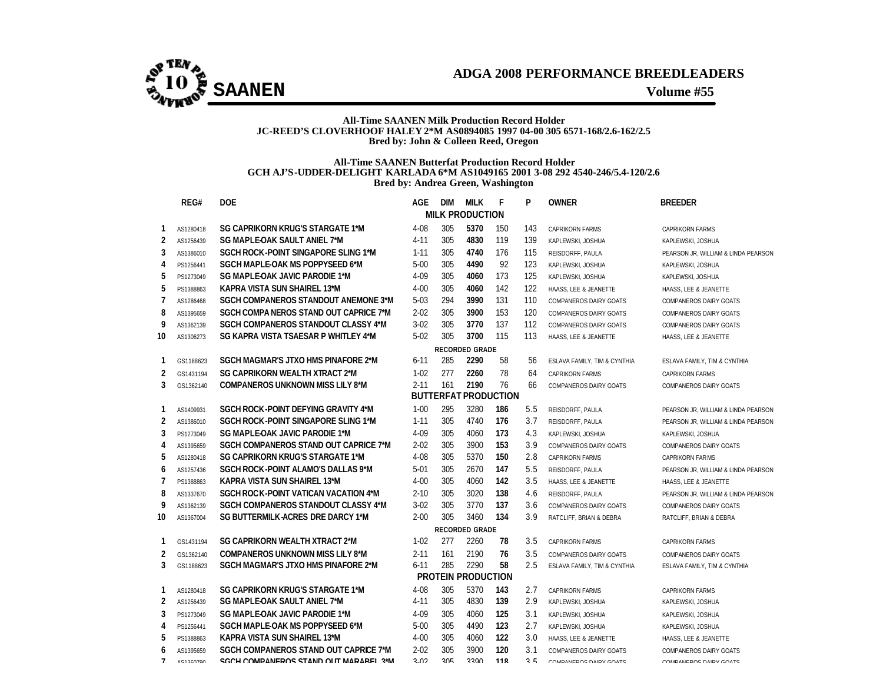

#### **All-Time SAANEN Milk Production Record Holder JC-REED'S CLOVERHOOF HALEY 2\*M AS0894085 1997 04-00 305 6571-168/2.6-162/2.5 Bred by: John & Colleen Reed, Oregon**

#### **All-Time SAANEN Butterfat Production Record Holder GCH AJ'S-UDDER-DELIGHT KARLADA 6\*M AS1049165 2001 3-08 292 4540-246/5.4-120/2.6 Bred by: Andrea Green, Washington**

|                | REG#      | <b>DOE</b>                                   | AGE      | <b>DIM</b> | <b>MILK</b>            | F                           | P   | <b>OWNER</b>                 | <b>BREEDER</b>                      |
|----------------|-----------|----------------------------------------------|----------|------------|------------------------|-----------------------------|-----|------------------------------|-------------------------------------|
|                |           |                                              |          |            | <b>MILK PRODUCTION</b> |                             |     |                              |                                     |
| 1              | AS1280418 | <b>SG CAPRIKORN KRUG'S STARGATE 1*M</b>      | $4 - 08$ | 305        | 5370                   | 150                         | 143 | <b>CAPRIKORN FARMS</b>       | <b>CAPRIKORN FARMS</b>              |
| 2              | AS1256439 | SG MAPLE-OAK SAULT ANIEL 7*M                 | $4 - 11$ | 305        | 4830                   | 119                         | 139 | KAPLEWSKI, JOSHUA            | KAPLEWSKI, JOSHUA                   |
| 3              | AS1386010 | SGCH ROCK-POINT SINGAPORE SLING 1*M          | $1 - 11$ | 305        | 4740                   | 176                         | 115 | REISDORFF, PAULA             | PEARSON JR, WILLIAM & LINDA PEARSON |
| 4              | PS1256441 | SGCH MAPLE-OAK MS POPPYSEED 6*M              | $5 - 00$ | 305        | 4490                   | 92                          | 123 | KAPLEWSKI, JOSHUA            | KAPLEWSKI, JOSHUA                   |
| 5              | PS1273049 | SG MAPLE-OAK JAVIC PARODIE 1*M               | 4-09     | 305        | 4060                   | 173                         | 125 | KAPLEWSKI, JOSHUA            | KAPLEWSKI, JOSHUA                   |
| 5              | PS1388863 | KAPRA VISTA SUN SHAIREL 13*M                 | $4 - 00$ | 305        | 4060                   | 142                         | 122 | HAASS, LEE & JEANETTE        | HAASS, LEE & JEANETTE               |
| $\overline{7}$ | AS1286468 | SGCH COMPANEROS STANDOUT ANEMONE 3*M         | $5-03$   | 294        | 3990                   | 131                         | 110 | COMPANEROS DAIRY GOATS       | COMPANEROS DAIRY GOATS              |
| 8              | AS1395659 | SGCH COMPA NEROS STAND OUT CAPRICE 7*M       | $2 - 02$ | 305        | 3900                   | 153                         | 120 | COMPANEROS DAIRY GOATS       | COMPANEROS DAIRY GOATS              |
| 9              | AS1362139 | SGCH COMPANEROS STANDOUT CLASSY 4*M          | $3-02$   | 305        | 3770                   | 137                         | 112 | COMPANEROS DAIRY GOATS       | COMPANEROS DAIRY GOATS              |
| 10             | AS1306273 | SG KAPRA VISTA TSAESAR P WHITLEY 4*M         | $5-02$   | 305        | 3700                   | 115                         | 113 | HAASS, LEE & JEANETTE        | HAASS, LEE & JEANETTE               |
|                |           |                                              |          |            | <b>RECORDED GRADE</b>  |                             |     |                              |                                     |
| 1              | GS1188623 | SGCH MAGMAR'S JTXO HMS PINAFORE 2*M          | $6 - 11$ | 285        | 2290                   | 58                          | 56  | ESLAVA FAMILY. TIM & CYNTHIA | ESLAVA FAMILY, TIM & CYNTHIA        |
| 2              | GS1431194 | SG CAPRIKORN WEALTH XTRACT 2*M               | $1 - 02$ | 277        | 2260                   | 78                          | 64  | <b>CAPRIKORN FARMS</b>       | <b>CAPRIKORN FARMS</b>              |
| 3              | GS1362140 | <b>COMPANEROS UNKNOWN MISS LILY 8*M</b>      | $2 - 11$ | 161        | 2190                   | 76                          | 66  | COMPANEROS DAIRY GOATS       | COMPANEROS DAIRY GOATS              |
|                |           |                                              |          |            |                        | <b>BUTTERFAT PRODUCTION</b> |     |                              |                                     |
| 1              | AS1409931 | SGCH ROCK-POINT DEFYING GRAVITY 4*M          | $1 - 00$ | 295        | 3280                   | 186                         | 5.5 | REISDORFF, PAULA             | PEARSON JR, WILLIAM & LINDA PEARSON |
| 2              | AS1386010 | SGCH ROCK-POINT SINGAPORE SLING 1*M          | $1 - 11$ | 305        | 4740                   | 176                         | 3.7 | REISDORFF, PAULA             | PEARSON JR, WILLIAM & LINDA PEARSON |
| 3              | PS1273049 | <b>SG MAPLE-OAK JAVIC PARODIE 1*M</b>        | $4 - 09$ | 305        | 4060                   | 173                         | 4.3 | KAPLEWSKI, JOSHUA            | KAPLEWSKI, JOSHUA                   |
| 4              | AS1395659 | SGCH COMPANEROS STAND OUT CAPRICE 7*M        | $2 - 02$ | 305        | 3900                   | 153                         | 3.9 | COMPANEROS DAIRY GOATS       | COMPANEROS DAIRY GOATS              |
| 5              | AS1280418 | <b>SG CAPRIKORN KRUG'S STARGATE 1*M</b>      | 4-08     | 305        | 5370                   | 150                         | 2.8 | <b>CAPRIKORN FARMS</b>       | <b>CAPRIKORN FARMS</b>              |
| 6              | AS1257436 | SGCH ROCK-POINT ALAMO'S DALLAS 9*M           | $5-01$   | 305        | 2670                   | 147                         | 5.5 | REISDORFF, PAULA             | PEARSON JR, WILLIAM & LINDA PEARSON |
| $\overline{7}$ | PS1388863 | KAPRA VISTA SUN SHAIREL 13*M                 | $4 - 00$ | 305        | 4060                   | 142                         | 3.5 | HAASS, LEE & JEANETTE        | HAASS, LEE & JEANETTE               |
| 8              | AS1337670 | SGCH ROC K-POINT VATICAN VACATION 4*M        | $2 - 10$ | 305        | 3020                   | 138                         | 4.6 | REISDORFF, PAULA             | PEARSON JR, WILLIAM & LINDA PEARSON |
| 9              | AS1362139 | <b>SGCH COMPANEROS STANDOUT CLASSY 4*M</b>   | $3 - 02$ | 305        | 3770                   | 137                         | 3.6 | COMPANEROS DAIRY GOATS       | COMPANEROS DAIRY GOATS              |
| 10             | AS1367004 | SG BUTTERMILK ACRES DRE DARCY 1*M            | $2 - 00$ | 305        | 3460                   | 134                         | 3.9 | RATCLIFF, BRIAN & DEBRA      | RATCLIFF, BRIAN & DEBRA             |
|                |           |                                              |          |            | <b>RECORDED GRADE</b>  |                             |     |                              |                                     |
| 1              | GS1431194 | SG CAPRIKORN WEALTH XTRACT 2*M               | $1 - 02$ | 277        | 2260                   | 78                          | 3.5 | <b>CAPRIKORN FARMS</b>       | <b>CAPRIKORN FARMS</b>              |
| 2              | GS1362140 | <b>COMPANEROS UNKNOWN MISS LILY 8*M</b>      | $2 - 11$ | 161        | 2190                   | 76                          | 3.5 | COMPANEROS DAIRY GOATS       | COMPANEROS DAIRY GOATS              |
| 3              | GS1188623 | SGCH MAGMAR'S JTXO HMS PINAFORE 2*M          | $6 - 11$ | 285        | 2290                   | 58                          | 2.5 | ESLAVA FAMILY, TIM & CYNTHIA | ESLAVA FAMILY, TIM & CYNTHIA        |
|                |           |                                              |          |            | PROTEIN PRODUCTION     |                             |     |                              |                                     |
| 1              | AS1280418 | SG CAPRIKORN KRUG'S STARGATE 1*M             | 4-08     | 305        | 5370                   | 143                         | 2.7 | <b>CAPRIKORN FARMS</b>       | <b>CAPRIKORN FARMS</b>              |
| 2              | AS1256439 | SG MAPLE-OAK SAULT ANIEL 7*M                 | $4 - 11$ | 305        | 4830                   | 139                         | 2.9 | KAPLEWSKI, JOSHUA            | KAPLEWSKI, JOSHUA                   |
| 3              | PS1273049 | <b>SG MAPLE-OAK JAVIC PARODIE 1*M</b>        | 4-09     | 305        | 4060                   | 125                         | 3.1 | KAPLEWSKI, JOSHUA            | KAPLEWSKI, JOSHUA                   |
| 4              | PS1256441 | SGCH MAPLE-OAK MS POPPYSEED 6*M              | $5 - 00$ | 305        | 4490                   | 123                         | 2.7 | KAPLEWSKI, JOSHUA            | KAPLEWSKI, JOSHUA                   |
| 5              | PS1388863 | KAPRA VISTA SUN SHAIREL 13*M                 | $4 - 00$ | 305        | 4060                   | 122                         | 3.0 | HAASS, LEE & JEANETTE        | HAASS, LEE & JEANETTE               |
| 6              | AS1395659 | SGCH COMPANEROS STAND OUT CAPRICE 7*M        | $2 - 02$ | 305        | 3900                   | 120                         | 3.1 | COMPANEROS DAIRY GOATS       | COMPANEROS DAIRY GOATS              |
| $\overline{7}$ | AC1040700 | <b>SCCH COMPANEDOS STAND OUT MADAREL 3*M</b> | 2.02     | 305        | 3300                   | 119                         | 2F  | COMPANIEDOS DAIDY COATS      | COMPANIEDOS DAIDY COATS             |

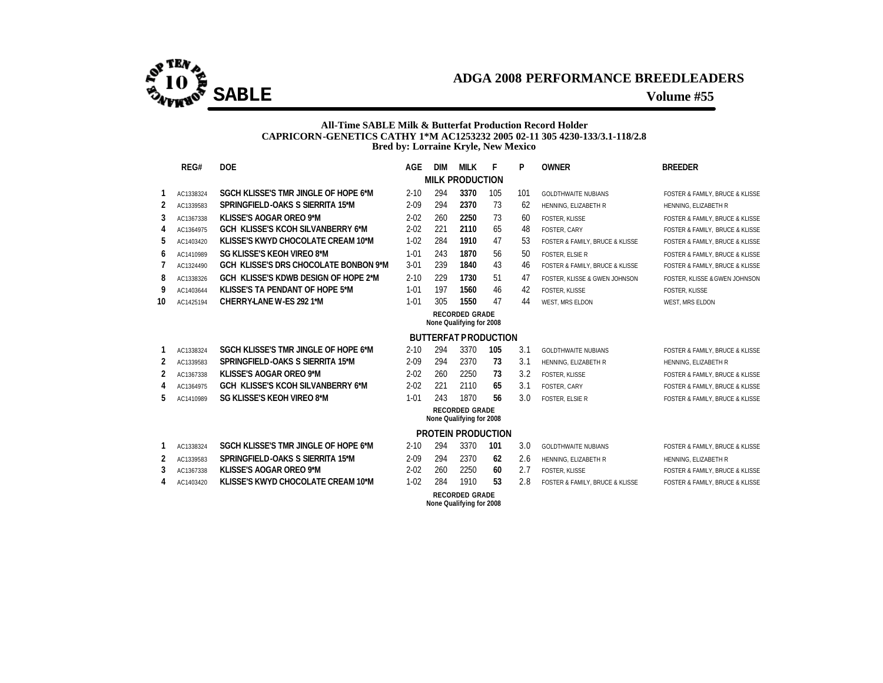

### **All-Time SABLE Milk & Butterfat Production Record Holder CAPRICORN-GENETICS CATHY 1\*M AC1253232 2005 02-11 305 4230-133/3.1-118/2.8 Bred by: Lorraine Kryle, New Mexico**

|    | REG#                     | <b>DOE</b>                                   | <b>AGE</b> | <b>DIM</b> | MILK                                              | F   | P   | <b>OWNER</b>                    | <b>BREEDER</b>                  |  |  |  |  |  |
|----|--------------------------|----------------------------------------------|------------|------------|---------------------------------------------------|-----|-----|---------------------------------|---------------------------------|--|--|--|--|--|
|    |                          |                                              |            |            | <b>MILK PRODUCTION</b>                            |     |     |                                 |                                 |  |  |  |  |  |
| 1  | AC1338324                | SGCH KLISSE'S TMR JINGLE OF HOPE 6*M         | $2 - 10$   | 294        | 3370                                              | 105 | 101 | <b>GOLDTHWAITE NUBIANS</b>      | FOSTER & FAMILY. BRUCE & KLISSE |  |  |  |  |  |
| 2  | AC1339583                | SPRINGFIELD-OAKS S SIERRITA 15*M             | $2 - 09$   | 294        | 2370                                              | 73  | 62  | HENNING, ELIZABETH R            | HENNING, ELIZABETH R            |  |  |  |  |  |
| 3  | AC1367338                | KLISSE'S AOGAR OREO 9*M                      | $2 - 02$   | 260        | 2250                                              | 73  | 60  | <b>FOSTER, KLISSE</b>           | FOSTER & FAMILY, BRUCE & KLISSE |  |  |  |  |  |
| 4  | AC1364975                | <b>GCH KLISSE'S KCOH SILVANBERRY 6*M</b>     | $2 - 02$   | 221        | 2110                                              | 65  | 48  | FOSTER, CARY                    | FOSTER & FAMILY. BRUCE & KLISSE |  |  |  |  |  |
| 5  | AC1403420                | <b>KLISSE'S KWYD CHOCOLATE CREAM 10*M</b>    | $1 - 02$   | 284        | 1910                                              | 47  | 53  | FOSTER & FAMILY, BRUCE & KLISSE | FOSTER & FAMILY, BRUCE & KLISSE |  |  |  |  |  |
| 6  | AC1410989                | SG KLISSE'S KEOH VIREO 8*M                   | $1 - 01$   | 243        | 1870                                              | 56  | 50  | <b>FOSTER, ELSIE R</b>          | FOSTER & FAMILY. BRUCE & KLISSE |  |  |  |  |  |
| 7  | AC1324490                | <b>GCH KLISSE'S DRS CHOCOLATE BONBON 9*M</b> | $3 - 01$   | 239        | 1840                                              | 43  | 46  | FOSTER & FAMILY, BRUCE & KLISSE | FOSTER & FAMILY, BRUCE & KLISSE |  |  |  |  |  |
| 8  | AC1338326                | GCH KLISSE'S KDWB DESIGN OF HOPE 2*M         | $2 - 10$   | 229        | 1730                                              | 51  | 47  | FOSTER. KLISSE & GWEN JOHNSON   | FOSTER. KLISSE & GWEN JOHNSON   |  |  |  |  |  |
| 9  | AC1403644                | KLISSE'S TA PENDANT OF HOPE 5*M              | $1 - 01$   | 197        | 1560                                              | 46  | 42  | FOSTER, KLISSE                  | FOSTER, KLISSE                  |  |  |  |  |  |
| 10 | AC1425194                | CHERRY-LANE W-ES 292 1*M                     | $1 - 01$   | 305        | 1550                                              | 47  | 44  | WEST, MRS ELDON                 | WEST, MRS ELDON                 |  |  |  |  |  |
|    | <b>RECORDED GRADE</b>    |                                              |            |            |                                                   |     |     |                                 |                                 |  |  |  |  |  |
|    | None Qualifying for 2008 |                                              |            |            |                                                   |     |     |                                 |                                 |  |  |  |  |  |
|    |                          |                                              |            |            | <b>BUTTERFAT PRODUCTION</b>                       |     |     |                                 |                                 |  |  |  |  |  |
| 1  | AC1338324                | SGCH KLISSE'S TMR JINGLE OF HOPE 6*M         | $2 - 10$   | 294        | 3370                                              | 105 | 3.1 | <b>GOLDTHWAITE NUBIANS</b>      | FOSTER & FAMILY, BRUCE & KLISSE |  |  |  |  |  |
| 2  | AC1339583                | SPRINGFIELD-OAKS S SIERRITA 15*M             | $2 - 09$   | 294        | 2370                                              | 73  | 3.1 | HENNING, ELIZABETH R            | HENNING, ELIZABETH R            |  |  |  |  |  |
| 2  | AC1367338                | <b>KLISSE'S AOGAR OREO 9*M</b>               | $2 - 02$   | 260        | 2250                                              | 73  | 3.2 | <b>FOSTER, KLISSE</b>           | FOSTER & FAMILY, BRUCE & KLISSE |  |  |  |  |  |
| 4  | AC1364975                | <b>GCH KLISSE'S KCOH SILVANBERRY 6*M</b>     | $2 - 02$   | 221        | 2110                                              | 65  | 3.1 | FOSTER, CARY                    | FOSTER & FAMILY, BRUCE & KLISSE |  |  |  |  |  |
| 5  | AC1410989                | <b>SG KLISSE'S KEOH VIREO 8*M</b>            | $1 - 01$   | 243        | 1870                                              | 56  | 3.0 | <b>FOSTER, ELSIE R</b>          | FOSTER & FAMILY, BRUCE & KLISSE |  |  |  |  |  |
|    |                          |                                              |            |            | <b>RECORDED GRADE</b>                             |     |     |                                 |                                 |  |  |  |  |  |
|    |                          |                                              |            |            | None Qualifying for 2008                          |     |     |                                 |                                 |  |  |  |  |  |
|    |                          |                                              |            |            | <b>PROTEIN PRODUCTION</b>                         |     |     |                                 |                                 |  |  |  |  |  |
| 1  | AC1338324                | SGCH KLISSE'S TMR JINGLE OF HOPE 6*M         | $2 - 10$   | 294        | 3370                                              | 101 | 3.0 | <b>GOLDTHWAITE NUBIANS</b>      | FOSTER & FAMILY, BRUCE & KLISSE |  |  |  |  |  |
| 2  | AC1339583                | SPRINGFIELD-OAKS S SIERRITA 15*M             | $2 - 09$   | 294        | 2370                                              | 62  | 2.6 | HENNING, ELIZABETH R            | HENNING, ELIZABETH R            |  |  |  |  |  |
| 3  | AC1367338                | <b>KLISSE'S AOGAR OREO 9*M</b>               | $2 - 02$   | 260        | 2250                                              | 60  | 2.7 | <b>FOSTER, KLISSE</b>           | FOSTER & FAMILY, BRUCE & KLISSE |  |  |  |  |  |
| 4  | AC1403420                | <b>KLISSE'S KWYD CHOCOLATE CREAM 10*M</b>    | $1 - 02$   | 284        | 1910                                              | 53  | 2.8 | FOSTER & FAMILY, BRUCE & KLISSE | FOSTER & FAMILY, BRUCE & KLISSE |  |  |  |  |  |
|    |                          |                                              |            |            | <b>RECORDED GRADE</b><br>None Qualifying for 2008 |     |     |                                 |                                 |  |  |  |  |  |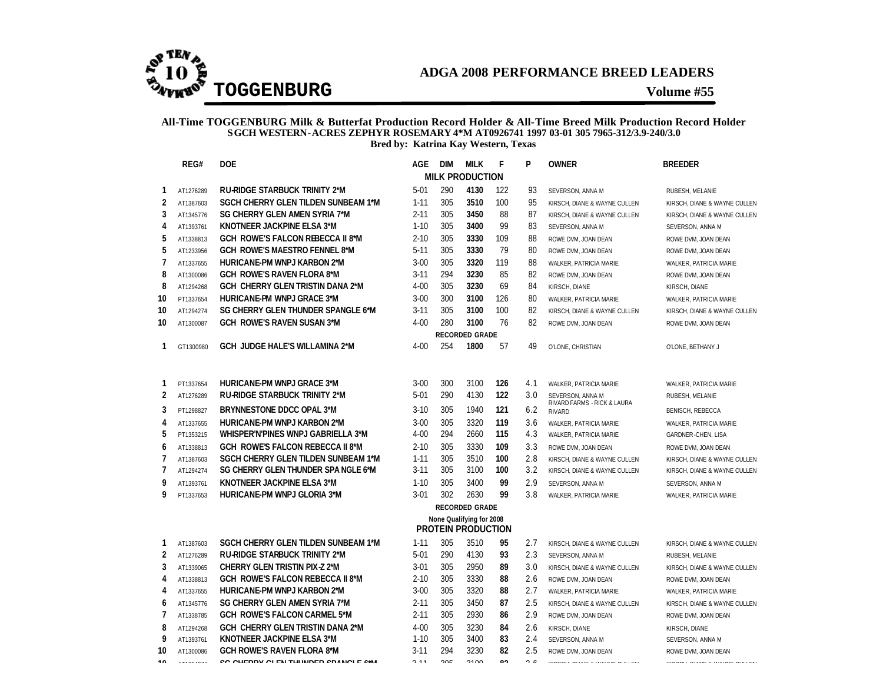

#### **All-Time TOGGENBURG Milk & Butterfat Production Record Holder & All-Time Breed Milk Production Record Holder SGCH WESTERN-ACRES ZEPHYR ROSEMARY 4\*M AT0926741 1997 03-01 305 7965-312/3.9-240/3.0 Bred by: Katrina Kay Western, Texas**

|                     | REG#                   | <b>DOE</b>                                                                         | <b>AGE</b>           | DIM        | <b>MILK</b>                                           | F          | P          | <b>OWNER</b>                                      | <b>BREEDER</b>                          |
|---------------------|------------------------|------------------------------------------------------------------------------------|----------------------|------------|-------------------------------------------------------|------------|------------|---------------------------------------------------|-----------------------------------------|
|                     |                        |                                                                                    |                      |            | <b>MILK PRODUCTION</b>                                |            |            |                                                   |                                         |
| 1                   | AT1276289              | <b>RU-RIDGE STARBUCK TRINITY 2*M</b>                                               | $5 - 01$             | 290        | 4130                                                  | 122        | 93         | SEVERSON, ANNA M                                  | RUBESH, MELANIE                         |
| $\overline{2}$      | AT1387603              | <b>SGCH CHERRY GLEN TILDEN SUNBEAM 1*M</b>                                         | $1 - 11$             | 305        | 3510                                                  | 100        | 95         | KIRSCH, DIANE & WAYNE CULLEN                      | KIRSCH, DIANE & WAYNE CULLEN            |
| 3                   | AT1345776              | SG CHERRY GLEN AMEN SYRIA 7*M                                                      | $2 - 11$             | 305        | 3450                                                  | 88         | 87         | KIRSCH, DIANE & WAYNE CULLEN                      | KIRSCH, DIANE & WAYNE CULLEN            |
| 4                   | AT1393761              | KNOTNEER JACKPINE ELSA 3*M                                                         | $1 - 10$             | 305        | 3400                                                  | 99         | 83         | SEVERSON, ANNA M                                  | SEVERSON, ANNA M                        |
| 5                   | AT1338813              | <b>GCH ROWE'S FALCON REBECCA II 8*M</b>                                            | $2 - 10$             | 305        | 3330                                                  | 109        | 88         | ROWE DVM, JOAN DEAN                               | ROWE DVM, JOAN DEAN                     |
| 5                   | AT1233956              | <b>GCH ROWE'S MAESTRO FENNEL 8*M</b>                                               | $5 - 11$             | 305        | 3330                                                  | 79         | 80         | ROWE DVM, JOAN DEAN                               | ROWE DVM, JOAN DEAN                     |
| 7                   | AT1337655              | <b>HURICANE-PM WNPJ KARBON 2*M</b>                                                 | $3 - 00$             | 305        | 3320                                                  | 119        | 88         | WALKER, PATRICIA MARIE                            | WALKER, PATRICIA MARIE                  |
| 8                   | AT1300086              | <b>GCH ROWE'S RAVEN FLORA 8*M</b>                                                  | $3 - 11$             | 294        | 3230                                                  | 85         | 82         | ROWE DVM, JOAN DEAN                               | ROWE DVM, JOAN DEAN                     |
| 8                   | AT1294268              | GCH CHERRY GLEN TRISTIN DANA 2*M                                                   | $4 - 00$             | 305        | 3230                                                  | 69         | 84         | KIRSCH, DIANE                                     | KIRSCH, DIANE                           |
| 10                  | PT1337654              | <b>HURICANE-PM WNPJ GRACE 3*M</b>                                                  | $3 - 00$             | 300        | 3100                                                  | 126        | 80         | WALKER, PATRICIA MARIE                            | WALKER, PATRICIA MARIE                  |
| 10                  | AT1294274              | SG CHERRY GLEN THUNDER SPANGLE 6*M                                                 | $3 - 11$             | 305        | 3100                                                  | 100        | 82         | KIRSCH, DIANE & WAYNE CULLEN                      | KIRSCH, DIANE & WAYNE CULLEN            |
| 10                  | AT1300087              | <b>GCH ROWE'S RAVEN SUSAN 3*M</b>                                                  | $4 - 00$             | 280        | 3100                                                  | 76         | 82         | ROWE DVM, JOAN DEAN                               | ROWE DVM, JOAN DEAN                     |
|                     |                        |                                                                                    |                      |            | <b>RECORDED GRADE</b>                                 |            |            |                                                   |                                         |
| 1                   | GT1300980              | <b>GCH JUDGE HALE'S WILLAMINA 2*M</b>                                              | $4 - 00$             | 254        | 1800                                                  | 57         | 49         | O'LONE, CHRISTIAN                                 | O'LONE, BETHANY J                       |
|                     |                        |                                                                                    |                      |            |                                                       |            |            |                                                   |                                         |
|                     |                        |                                                                                    |                      |            |                                                       |            |            |                                                   |                                         |
| 1<br>$\overline{2}$ | PT1337654              | <b>HURICANE-PM WNPJ GRACE 3*M</b><br><b>RU-RIDGE STARBUCK TRINITY 2*M</b>          | $3 - 00$<br>$5 - 01$ | 300<br>290 | 3100<br>4130                                          | 126<br>122 | 4.1<br>3.0 | WALKER, PATRICIA MARIE                            | WALKER, PATRICIA MARIE                  |
|                     | AT1276289              |                                                                                    |                      |            |                                                       |            |            | SEVERSON, ANNA M<br>RIVARD FARMS - RICK & LAURA   | RUBESH, MELANIE                         |
| 3                   | PT1298827              | BRYNNESTONE DDCC OPAL 3*M                                                          | $3 - 10$             | 305        | 1940                                                  | 121        | 6.2        | <b>RIVARD</b>                                     | <b>BENISCH, REBECCA</b>                 |
| 4                   | AT1337655              | <b>HURICANE-PM WNPJ KARBON 2*M</b>                                                 | $3 - 00$             | 305        | 3320                                                  | 119        | 3.6        | WALKER, PATRICIA MARIE                            | WALKER, PATRICIA MARIE                  |
| 5                   | PT1353215              | <b>WHISPER'N'PINES WNPJ GABRIELLA 3*M</b>                                          | $4 - 00$             | 294        | 2660                                                  | 115        | 4.3        | WALKER, PATRICIA MARIE                            | <b>GARDNER-CHEN, LISA</b>               |
| 6                   | AT1338813              | <b>GCH ROWE'S FALCON REBECCA II 8*M</b>                                            | $2 - 10$             | 305        | 3330                                                  | 109        | 3.3        | ROWE DVM, JOAN DEAN                               | ROWE DVM, JOAN DEAN                     |
| 7                   | AT1387603              | SGCH CHERRY GLEN TILDEN SUNBEAM 1*M                                                | $1 - 11$             | 305        | 3510                                                  | 100        | 2.8        | KIRSCH, DIANE & WAYNE CULLEN                      | KIRSCH, DIANE & WAYNE CULLEN            |
| $\overline{1}$      | AT1294274              | SG CHERRY GLEN THUNDER SPA NGLE 6*M                                                | $3 - 11$             | 305        | 3100                                                  | 100        | 3.2        | KIRSCH, DIANE & WAYNE CULLEN                      | KIRSCH, DIANE & WAYNE CULLEN            |
| 9                   | AT1393761              | KNOTNEER JACKPINE ELSA 3*M                                                         | $1 - 10$             | 305        | 3400                                                  | 99         | 2.9        | SEVERSON, ANNA M                                  | SEVERSON, ANNA M                        |
| 9                   | PT1337653              | HURICANE-PM WNPJ GLORIA 3*M                                                        | $3 - 01$             | 302        | 2630                                                  | 99         | 3.8        | WALKER, PATRICIA MARIE                            | WALKER, PATRICIA MARIE                  |
|                     |                        |                                                                                    |                      |            | <b>RECORDED GRADE</b>                                 |            |            |                                                   |                                         |
|                     |                        |                                                                                    |                      |            | None Qualifying for 2008<br><b>PROTEIN PRODUCTION</b> |            |            |                                                   |                                         |
|                     |                        |                                                                                    |                      |            |                                                       |            |            |                                                   |                                         |
| 1                   | AT1387603              | <b>SGCH CHERRY GLEN TILDEN SUNBEAM 1*M</b><br><b>RU-RIDGE STARBUCK TRINITY 2*M</b> | $1 - 11$<br>$5 - 01$ | 305<br>290 | 3510<br>4130                                          | 95<br>93   | 2.7        | KIRSCH, DIANE & WAYNE CULLEN                      | KIRSCH, DIANE & WAYNE CULLEN            |
| 2<br>3              | AT1276289              | <b>CHERRY GLEN TRISTIN PIX-Z 2*M</b>                                               | $3 - 01$             | 305        | 2950                                                  | 89         | 2.3<br>3.0 | SEVERSON, ANNA M                                  | RUBESH, MELANIE                         |
| 4                   | AT1339065              | <b>GCH ROWE'S FALCON REBECCA II 8*M</b>                                            | $2 - 10$             | 305        | 3330                                                  | 88         | 2.6        | KIRSCH, DIANE & WAYNE CULLEN                      | KIRSCH, DIANE & WAYNE CULLEN            |
|                     | AT1338813              | <b>HURICANE-PM WNPJ KARBON 2*M</b>                                                 | $3 - 00$             | 305        | 3320                                                  | 88         | 2.7        | ROWE DVM, JOAN DEAN                               | ROWE DVM, JOAN DEAN                     |
| 4                   | AT1337655              | SG CHERRY GLEN AMEN SYRIA 7*M                                                      | $2 - 11$             | 305        | 3450                                                  | 87         | 2.5        | WALKER, PATRICIA MARIE                            | WALKER, PATRICIA MARIE                  |
| 6<br>7              | AT1345776<br>AT1338785 | <b>GCH ROWE'S FALCON CARMEL 5*M</b>                                                | $2 - 11$             | 305        | 2930                                                  | 86         | 2.9        | KIRSCH, DIANE & WAYNE CULLEN                      | KIRSCH, DIANE & WAYNE CULLEN            |
| 8                   |                        | GCH CHERRY GLEN TRISTIN DANA 2*M                                                   | $4 - 00$             | 305        | 3230                                                  | 84         | 2.6        | ROWE DVM, JOAN DEAN                               | ROWE DVM, JOAN DEAN                     |
| 9                   | AT1294268<br>AT1393761 | KNOTNEER JACKPINE ELSA 3*M                                                         | $1 - 10$             | 305        | 3400                                                  | 83         | 2.4        | KIRSCH, DIANE                                     | KIRSCH, DIANE                           |
| 10                  | AT1300086              | <b>GCH ROWE'S RAVEN FLORA 8*M</b>                                                  | $3 - 11$             | 294        | 3230                                                  | 82         | 2.5        | SEVERSON, ANNA M<br>ROWE DVM, JOAN DEAN           | SEVERSON, ANNA M<br>ROWE DVM, JOAN DEAN |
| 10                  | <b>THE CALL CALL</b>   | CO OUTROV OF THE THINDER CRANOLE /*M                                               | 2.11                 | 20F        | 2100                                                  | n٠         | $\sim$     | communication and a construction of the community | companies measured a concern management |
|                     |                        |                                                                                    |                      |            |                                                       |            |            |                                                   |                                         |